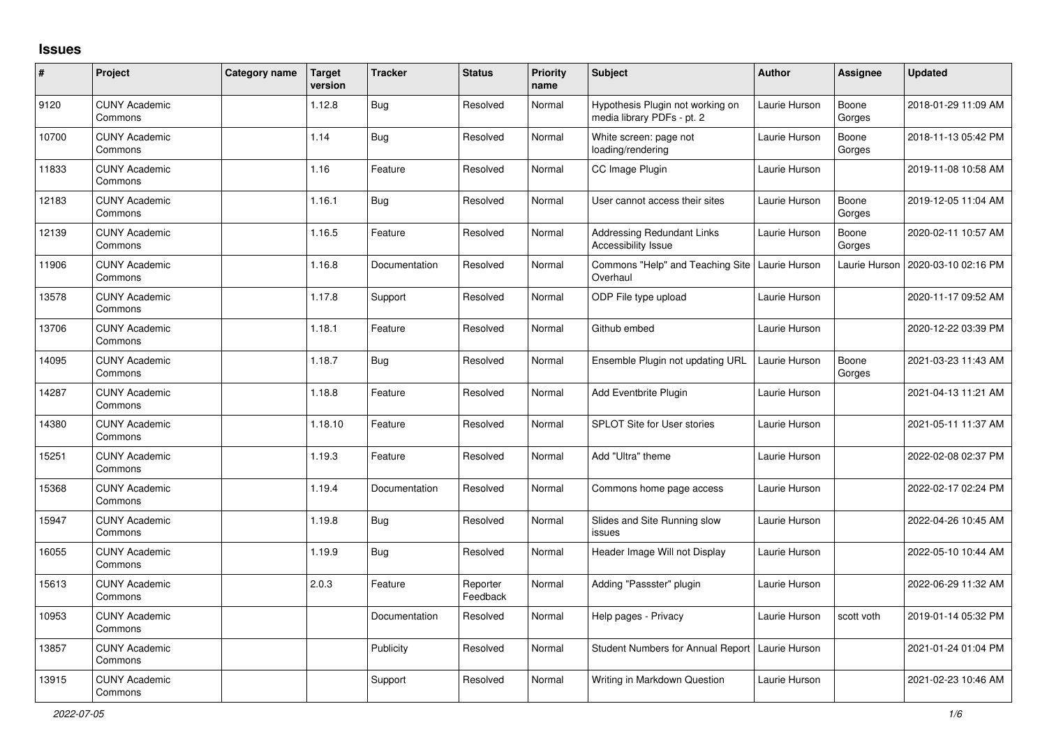## **Issues**

| $\vert$ # | Project                         | Category name | <b>Target</b><br>version | <b>Tracker</b> | <b>Status</b>        | <b>Priority</b><br>name | <b>Subject</b>                                                 | <b>Author</b> | Assignee        | <b>Updated</b>      |
|-----------|---------------------------------|---------------|--------------------------|----------------|----------------------|-------------------------|----------------------------------------------------------------|---------------|-----------------|---------------------|
| 9120      | <b>CUNY Academic</b><br>Commons |               | 1.12.8                   | <b>Bug</b>     | Resolved             | Normal                  | Hypothesis Plugin not working on<br>media library PDFs - pt. 2 | Laurie Hurson | Boone<br>Gorges | 2018-01-29 11:09 AM |
| 10700     | <b>CUNY Academic</b><br>Commons |               | 1.14                     | <b>Bug</b>     | Resolved             | Normal                  | White screen: page not<br>loading/rendering                    | Laurie Hurson | Boone<br>Gorges | 2018-11-13 05:42 PM |
| 11833     | <b>CUNY Academic</b><br>Commons |               | 1.16                     | Feature        | Resolved             | Normal                  | CC Image Plugin                                                | Laurie Hurson |                 | 2019-11-08 10:58 AM |
| 12183     | <b>CUNY Academic</b><br>Commons |               | 1.16.1                   | <b>Bug</b>     | Resolved             | Normal                  | User cannot access their sites                                 | Laurie Hurson | Boone<br>Gorges | 2019-12-05 11:04 AM |
| 12139     | <b>CUNY Academic</b><br>Commons |               | 1.16.5                   | Feature        | Resolved             | Normal                  | <b>Addressing Redundant Links</b><br>Accessibility Issue       | Laurie Hurson | Boone<br>Gorges | 2020-02-11 10:57 AM |
| 11906     | <b>CUNY Academic</b><br>Commons |               | 1.16.8                   | Documentation  | Resolved             | Normal                  | Commons "Help" and Teaching Site<br>Overhaul                   | Laurie Hurson | Laurie Hurson   | 2020-03-10 02:16 PM |
| 13578     | <b>CUNY Academic</b><br>Commons |               | 1.17.8                   | Support        | Resolved             | Normal                  | ODP File type upload                                           | Laurie Hurson |                 | 2020-11-17 09:52 AM |
| 13706     | <b>CUNY Academic</b><br>Commons |               | 1.18.1                   | Feature        | Resolved             | Normal                  | Github embed                                                   | Laurie Hurson |                 | 2020-12-22 03:39 PM |
| 14095     | <b>CUNY Academic</b><br>Commons |               | 1.18.7                   | <b>Bug</b>     | Resolved             | Normal                  | Ensemble Plugin not updating URL                               | Laurie Hurson | Boone<br>Gorges | 2021-03-23 11:43 AM |
| 14287     | <b>CUNY Academic</b><br>Commons |               | 1.18.8                   | Feature        | Resolved             | Normal                  | Add Eventbrite Plugin                                          | Laurie Hurson |                 | 2021-04-13 11:21 AM |
| 14380     | <b>CUNY Academic</b><br>Commons |               | 1.18.10                  | Feature        | Resolved             | Normal                  | <b>SPLOT Site for User stories</b>                             | Laurie Hurson |                 | 2021-05-11 11:37 AM |
| 15251     | <b>CUNY Academic</b><br>Commons |               | 1.19.3                   | Feature        | Resolved             | Normal                  | Add "Ultra" theme                                              | Laurie Hurson |                 | 2022-02-08 02:37 PM |
| 15368     | <b>CUNY Academic</b><br>Commons |               | 1.19.4                   | Documentation  | Resolved             | Normal                  | Commons home page access                                       | Laurie Hurson |                 | 2022-02-17 02:24 PM |
| 15947     | <b>CUNY Academic</b><br>Commons |               | 1.19.8                   | <b>Bug</b>     | Resolved             | Normal                  | Slides and Site Running slow<br>issues                         | Laurie Hurson |                 | 2022-04-26 10:45 AM |
| 16055     | <b>CUNY Academic</b><br>Commons |               | 1.19.9                   | <b>Bug</b>     | Resolved             | Normal                  | Header Image Will not Display                                  | Laurie Hurson |                 | 2022-05-10 10:44 AM |
| 15613     | <b>CUNY Academic</b><br>Commons |               | 2.0.3                    | Feature        | Reporter<br>Feedback | Normal                  | Adding "Passster" plugin                                       | Laurie Hurson |                 | 2022-06-29 11:32 AM |
| 10953     | <b>CUNY Academic</b><br>Commons |               |                          | Documentation  | Resolved             | Normal                  | Help pages - Privacy                                           | Laurie Hurson | scott voth      | 2019-01-14 05:32 PM |
| 13857     | <b>CUNY Academic</b><br>Commons |               |                          | Publicity      | Resolved             | Normal                  | Student Numbers for Annual Report                              | Laurie Hurson |                 | 2021-01-24 01:04 PM |
| 13915     | <b>CUNY Academic</b><br>Commons |               |                          | Support        | Resolved             | Normal                  | Writing in Markdown Question                                   | Laurie Hurson |                 | 2021-02-23 10:46 AM |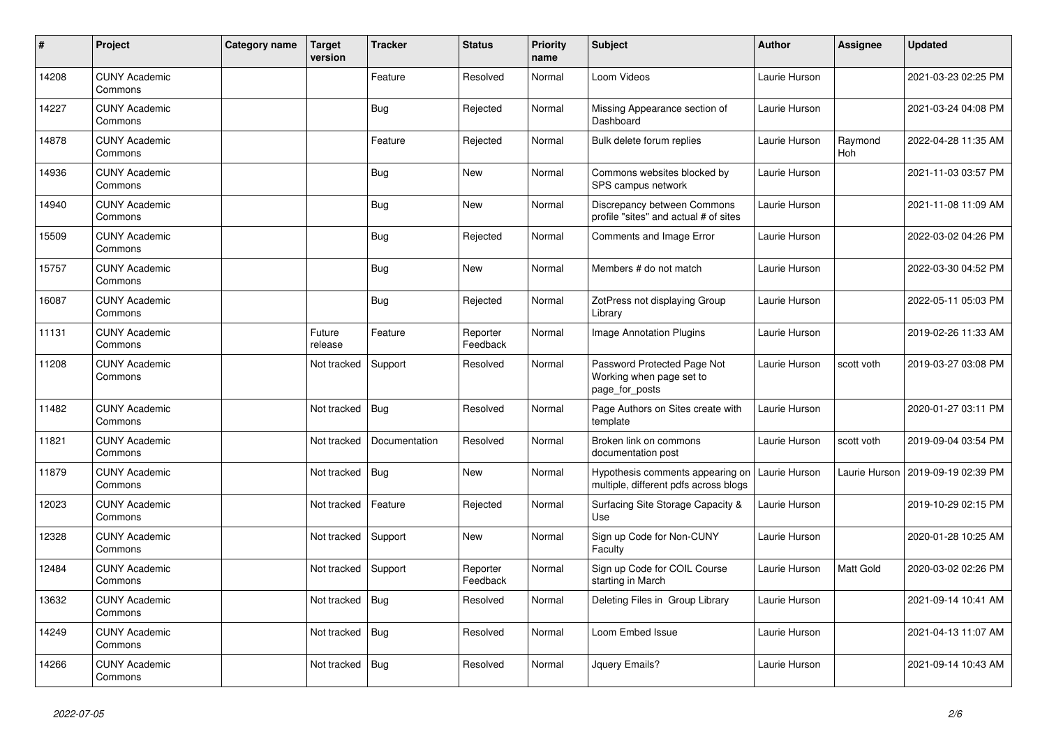| $\vert$ # | Project                         | Category name | <b>Target</b><br>version | <b>Tracker</b> | <b>Status</b>        | <b>Priority</b><br>name | <b>Subject</b>                                                            | <b>Author</b> | <b>Assignee</b>  | <b>Updated</b>      |
|-----------|---------------------------------|---------------|--------------------------|----------------|----------------------|-------------------------|---------------------------------------------------------------------------|---------------|------------------|---------------------|
| 14208     | <b>CUNY Academic</b><br>Commons |               |                          | Feature        | Resolved             | Normal                  | Loom Videos                                                               | Laurie Hurson |                  | 2021-03-23 02:25 PM |
| 14227     | <b>CUNY Academic</b><br>Commons |               |                          | <b>Bug</b>     | Rejected             | Normal                  | Missing Appearance section of<br>Dashboard                                | Laurie Hurson |                  | 2021-03-24 04:08 PM |
| 14878     | <b>CUNY Academic</b><br>Commons |               |                          | Feature        | Rejected             | Normal                  | Bulk delete forum replies                                                 | Laurie Hurson | Raymond<br>Hoh   | 2022-04-28 11:35 AM |
| 14936     | <b>CUNY Academic</b><br>Commons |               |                          | <b>Bug</b>     | New                  | Normal                  | Commons websites blocked by<br>SPS campus network                         | Laurie Hurson |                  | 2021-11-03 03:57 PM |
| 14940     | <b>CUNY Academic</b><br>Commons |               |                          | <b>Bug</b>     | New                  | Normal                  | Discrepancy between Commons<br>profile "sites" and actual # of sites      | Laurie Hurson |                  | 2021-11-08 11:09 AM |
| 15509     | <b>CUNY Academic</b><br>Commons |               |                          | Bug            | Rejected             | Normal                  | Comments and Image Error                                                  | Laurie Hurson |                  | 2022-03-02 04:26 PM |
| 15757     | <b>CUNY Academic</b><br>Commons |               |                          | <b>Bug</b>     | New                  | Normal                  | Members # do not match                                                    | Laurie Hurson |                  | 2022-03-30 04:52 PM |
| 16087     | <b>CUNY Academic</b><br>Commons |               |                          | Bug            | Rejected             | Normal                  | ZotPress not displaying Group<br>Library                                  | Laurie Hurson |                  | 2022-05-11 05:03 PM |
| 11131     | <b>CUNY Academic</b><br>Commons |               | Future<br>release        | Feature        | Reporter<br>Feedback | Normal                  | Image Annotation Plugins                                                  | Laurie Hurson |                  | 2019-02-26 11:33 AM |
| 11208     | <b>CUNY Academic</b><br>Commons |               | Not tracked              | Support        | Resolved             | Normal                  | Password Protected Page Not<br>Working when page set to<br>page_for_posts | Laurie Hurson | scott voth       | 2019-03-27 03:08 PM |
| 11482     | <b>CUNY Academic</b><br>Commons |               | Not tracked              | Bug            | Resolved             | Normal                  | Page Authors on Sites create with<br>template                             | Laurie Hurson |                  | 2020-01-27 03:11 PM |
| 11821     | <b>CUNY Academic</b><br>Commons |               | Not tracked              | Documentation  | Resolved             | Normal                  | Broken link on commons<br>documentation post                              | Laurie Hurson | scott voth       | 2019-09-04 03:54 PM |
| 11879     | <b>CUNY Academic</b><br>Commons |               | Not tracked              | <b>Bug</b>     | New                  | Normal                  | Hypothesis comments appearing on<br>multiple, different pdfs across blogs | Laurie Hurson | Laurie Hurson    | 2019-09-19 02:39 PM |
| 12023     | <b>CUNY Academic</b><br>Commons |               | Not tracked              | Feature        | Rejected             | Normal                  | Surfacing Site Storage Capacity &<br>Use                                  | Laurie Hurson |                  | 2019-10-29 02:15 PM |
| 12328     | <b>CUNY Academic</b><br>Commons |               | Not tracked              | Support        | New                  | Normal                  | Sign up Code for Non-CUNY<br>Faculty                                      | Laurie Hurson |                  | 2020-01-28 10:25 AM |
| 12484     | <b>CUNY Academic</b><br>Commons |               | Not tracked              | Support        | Reporter<br>Feedback | Normal                  | Sign up Code for COIL Course<br>starting in March                         | Laurie Hurson | <b>Matt Gold</b> | 2020-03-02 02:26 PM |
| 13632     | <b>CUNY Academic</b><br>Commons |               | Not tracked              | Bug            | Resolved             | Normal                  | Deleting Files in Group Library                                           | Laurie Hurson |                  | 2021-09-14 10:41 AM |
| 14249     | <b>CUNY Academic</b><br>Commons |               | Not tracked              | <b>Bug</b>     | Resolved             | Normal                  | Loom Embed Issue                                                          | Laurie Hurson |                  | 2021-04-13 11:07 AM |
| 14266     | <b>CUNY Academic</b><br>Commons |               | Not tracked              | Bug            | Resolved             | Normal                  | Jquery Emails?                                                            | Laurie Hurson |                  | 2021-09-14 10:43 AM |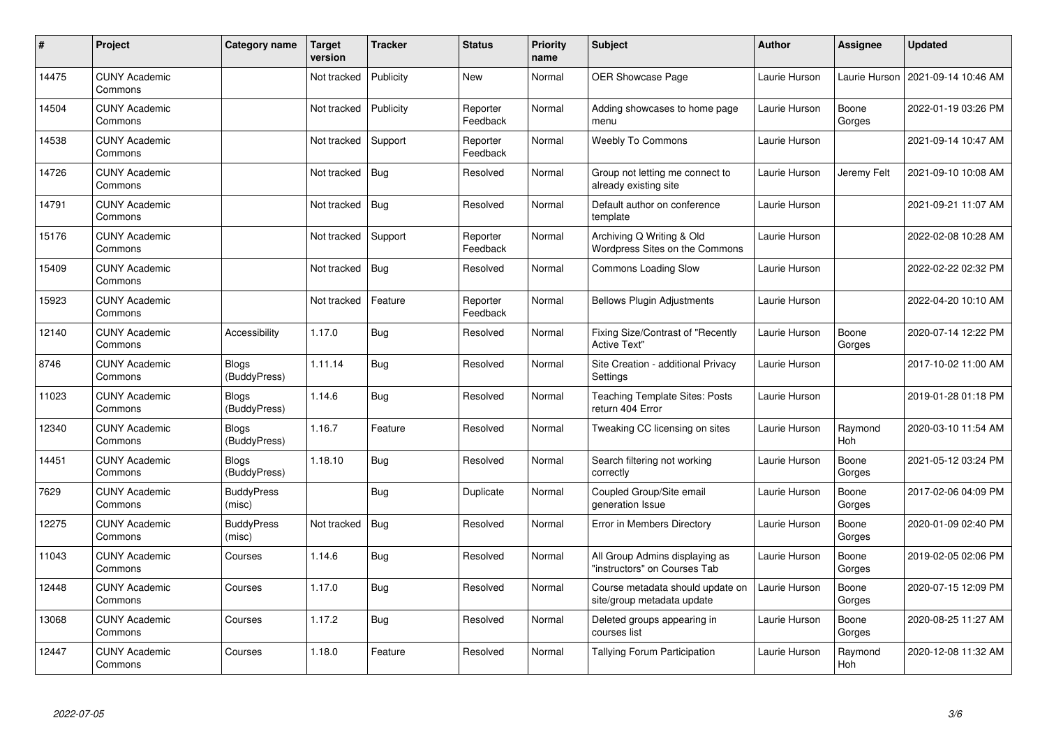| #     | Project                         | <b>Category name</b>         | Target<br>version | <b>Tracker</b> | <b>Status</b>        | <b>Priority</b><br>name | <b>Subject</b>                                                 | <b>Author</b> | <b>Assignee</b> | <b>Updated</b>      |
|-------|---------------------------------|------------------------------|-------------------|----------------|----------------------|-------------------------|----------------------------------------------------------------|---------------|-----------------|---------------------|
| 14475 | <b>CUNY Academic</b><br>Commons |                              | Not tracked       | Publicity      | New                  | Normal                  | OER Showcase Page                                              | Laurie Hurson | Laurie Hurson   | 2021-09-14 10:46 AM |
| 14504 | <b>CUNY Academic</b><br>Commons |                              | Not tracked       | Publicity      | Reporter<br>Feedback | Normal                  | Adding showcases to home page<br>menu                          | Laurie Hurson | Boone<br>Gorges | 2022-01-19 03:26 PM |
| 14538 | <b>CUNY Academic</b><br>Commons |                              | Not tracked       | Support        | Reporter<br>Feedback | Normal                  | <b>Weebly To Commons</b>                                       | Laurie Hurson |                 | 2021-09-14 10:47 AM |
| 14726 | <b>CUNY Academic</b><br>Commons |                              | Not tracked       | Bug            | Resolved             | Normal                  | Group not letting me connect to<br>already existing site       | Laurie Hurson | Jeremy Felt     | 2021-09-10 10:08 AM |
| 14791 | <b>CUNY Academic</b><br>Commons |                              | Not tracked       | Bug            | Resolved             | Normal                  | Default author on conference<br>template                       | Laurie Hurson |                 | 2021-09-21 11:07 AM |
| 15176 | <b>CUNY Academic</b><br>Commons |                              | Not tracked       | Support        | Reporter<br>Feedback | Normal                  | Archiving Q Writing & Old<br>Wordpress Sites on the Commons    | Laurie Hurson |                 | 2022-02-08 10:28 AM |
| 15409 | <b>CUNY Academic</b><br>Commons |                              | Not tracked       | <b>Bug</b>     | Resolved             | Normal                  | <b>Commons Loading Slow</b>                                    | Laurie Hurson |                 | 2022-02-22 02:32 PM |
| 15923 | <b>CUNY Academic</b><br>Commons |                              | Not tracked       | Feature        | Reporter<br>Feedback | Normal                  | <b>Bellows Plugin Adjustments</b>                              | Laurie Hurson |                 | 2022-04-20 10:10 AM |
| 12140 | <b>CUNY Academic</b><br>Commons | Accessibility                | 1.17.0            | <b>Bug</b>     | Resolved             | Normal                  | Fixing Size/Contrast of "Recently<br><b>Active Text"</b>       | Laurie Hurson | Boone<br>Gorges | 2020-07-14 12:22 PM |
| 8746  | <b>CUNY Academic</b><br>Commons | <b>Blogs</b><br>(BuddyPress) | 1.11.14           | <b>Bug</b>     | Resolved             | Normal                  | Site Creation - additional Privacy<br>Settings                 | Laurie Hurson |                 | 2017-10-02 11:00 AM |
| 11023 | <b>CUNY Academic</b><br>Commons | <b>Blogs</b><br>(BuddyPress) | 1.14.6            | <b>Bug</b>     | Resolved             | Normal                  | <b>Teaching Template Sites: Posts</b><br>return 404 Error      | Laurie Hurson |                 | 2019-01-28 01:18 PM |
| 12340 | <b>CUNY Academic</b><br>Commons | Blogs<br>(BuddyPress)        | 1.16.7            | Feature        | Resolved             | Normal                  | Tweaking CC licensing on sites                                 | Laurie Hurson | Raymond<br>Hoh  | 2020-03-10 11:54 AM |
| 14451 | <b>CUNY Academic</b><br>Commons | <b>Blogs</b><br>(BuddyPress) | 1.18.10           | <b>Bug</b>     | Resolved             | Normal                  | Search filtering not working<br>correctly                      | Laurie Hurson | Boone<br>Gorges | 2021-05-12 03:24 PM |
| 7629  | <b>CUNY Academic</b><br>Commons | <b>BuddyPress</b><br>(misc)  |                   | <b>Bug</b>     | Duplicate            | Normal                  | Coupled Group/Site email<br>generation Issue                   | Laurie Hurson | Boone<br>Gorges | 2017-02-06 04:09 PM |
| 12275 | <b>CUNY Academic</b><br>Commons | <b>BuddyPress</b><br>(misc)  | Not tracked       | <b>Bug</b>     | Resolved             | Normal                  | Error in Members Directory                                     | Laurie Hurson | Boone<br>Gorges | 2020-01-09 02:40 PM |
| 11043 | <b>CUNY Academic</b><br>Commons | Courses                      | 1.14.6            | <b>Bug</b>     | Resolved             | Normal                  | All Group Admins displaying as<br>"instructors" on Courses Tab | Laurie Hurson | Boone<br>Gorges | 2019-02-05 02:06 PM |
| 12448 | <b>CUNY Academic</b><br>Commons | Courses                      | 1.17.0            | Bug            | Resolved             | Normal                  | Course metadata should update on<br>site/group metadata update | Laurie Hurson | Boone<br>Gorges | 2020-07-15 12:09 PM |
| 13068 | <b>CUNY Academic</b><br>Commons | Courses                      | 1.17.2            | <b>Bug</b>     | Resolved             | Normal                  | Deleted groups appearing in<br>courses list                    | Laurie Hurson | Boone<br>Gorges | 2020-08-25 11:27 AM |
| 12447 | <b>CUNY Academic</b><br>Commons | Courses                      | 1.18.0            | Feature        | Resolved             | Normal                  | Tallying Forum Participation                                   | Laurie Hurson | Raymond<br>Hoh  | 2020-12-08 11:32 AM |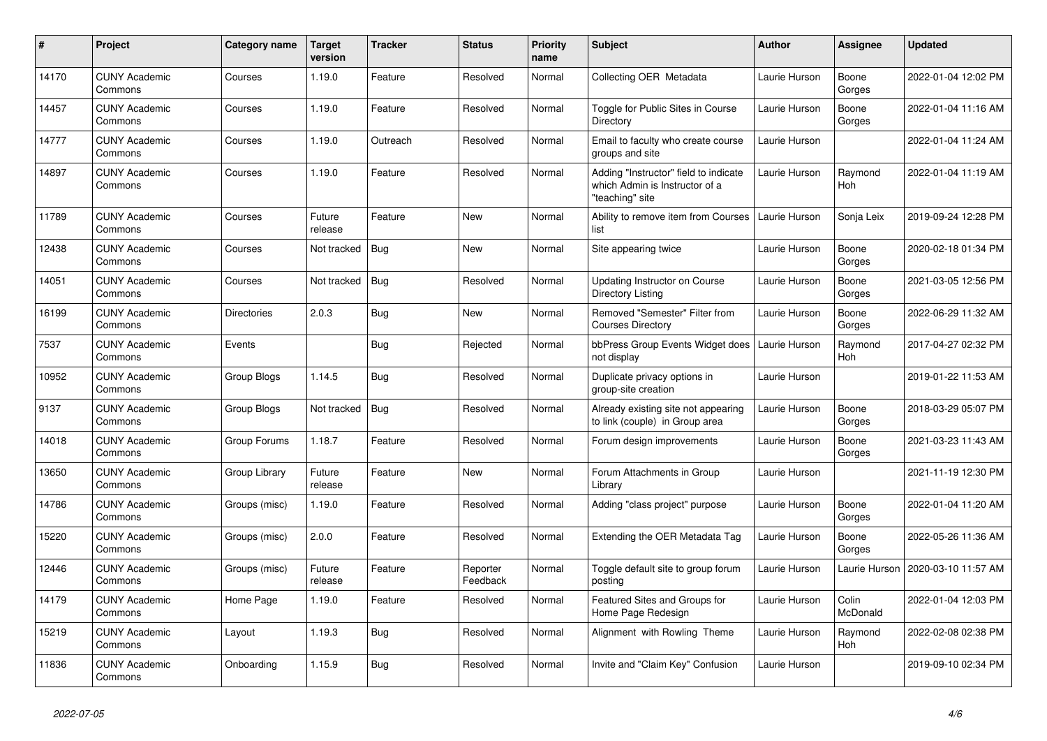| $\#$  | <b>Project</b>                  | Category name      | <b>Target</b><br>version | <b>Tracker</b> | <b>Status</b>        | <b>Priority</b><br>name | <b>Subject</b>                                                                             | <b>Author</b> | Assignee              | Updated             |
|-------|---------------------------------|--------------------|--------------------------|----------------|----------------------|-------------------------|--------------------------------------------------------------------------------------------|---------------|-----------------------|---------------------|
| 14170 | <b>CUNY Academic</b><br>Commons | Courses            | 1.19.0                   | Feature        | Resolved             | Normal                  | Collecting OER Metadata                                                                    | Laurie Hurson | Boone<br>Gorges       | 2022-01-04 12:02 PM |
| 14457 | <b>CUNY Academic</b><br>Commons | Courses            | 1.19.0                   | Feature        | Resolved             | Normal                  | Toggle for Public Sites in Course<br>Directory                                             | Laurie Hurson | Boone<br>Gorges       | 2022-01-04 11:16 AM |
| 14777 | <b>CUNY Academic</b><br>Commons | Courses            | 1.19.0                   | Outreach       | Resolved             | Normal                  | Email to faculty who create course<br>groups and site                                      | Laurie Hurson |                       | 2022-01-04 11:24 AM |
| 14897 | <b>CUNY Academic</b><br>Commons | Courses            | 1.19.0                   | Feature        | Resolved             | Normal                  | Adding "Instructor" field to indicate<br>which Admin is Instructor of a<br>"teaching" site | Laurie Hurson | Raymond<br><b>Hoh</b> | 2022-01-04 11:19 AM |
| 11789 | <b>CUNY Academic</b><br>Commons | Courses            | Future<br>release        | Feature        | <b>New</b>           | Normal                  | Ability to remove item from Courses<br>list                                                | Laurie Hurson | Sonja Leix            | 2019-09-24 12:28 PM |
| 12438 | <b>CUNY Academic</b><br>Commons | Courses            | Not tracked              | <b>Bug</b>     | New                  | Normal                  | Site appearing twice                                                                       | Laurie Hurson | Boone<br>Gorges       | 2020-02-18 01:34 PM |
| 14051 | <b>CUNY Academic</b><br>Commons | Courses            | Not tracked              | Bug            | Resolved             | Normal                  | <b>Updating Instructor on Course</b><br>Directory Listing                                  | Laurie Hurson | Boone<br>Gorges       | 2021-03-05 12:56 PM |
| 16199 | <b>CUNY Academic</b><br>Commons | <b>Directories</b> | 2.0.3                    | Bug            | <b>New</b>           | Normal                  | Removed "Semester" Filter from<br><b>Courses Directory</b>                                 | Laurie Hurson | Boone<br>Gorges       | 2022-06-29 11:32 AM |
| 7537  | <b>CUNY Academic</b><br>Commons | Events             |                          | Bug            | Rejected             | Normal                  | bbPress Group Events Widget does<br>not display                                            | Laurie Hurson | Raymond<br>Hoh        | 2017-04-27 02:32 PM |
| 10952 | <b>CUNY Academic</b><br>Commons | Group Blogs        | 1.14.5                   | <b>Bug</b>     | Resolved             | Normal                  | Duplicate privacy options in<br>group-site creation                                        | Laurie Hurson |                       | 2019-01-22 11:53 AM |
| 9137  | <b>CUNY Academic</b><br>Commons | Group Blogs        | Not tracked              | Bug            | Resolved             | Normal                  | Already existing site not appearing<br>to link (couple) in Group area                      | Laurie Hurson | Boone<br>Gorges       | 2018-03-29 05:07 PM |
| 14018 | <b>CUNY Academic</b><br>Commons | Group Forums       | 1.18.7                   | Feature        | Resolved             | Normal                  | Forum design improvements                                                                  | Laurie Hurson | Boone<br>Gorges       | 2021-03-23 11:43 AM |
| 13650 | <b>CUNY Academic</b><br>Commons | Group Library      | Future<br>release        | Feature        | New                  | Normal                  | Forum Attachments in Group<br>Library                                                      | Laurie Hurson |                       | 2021-11-19 12:30 PM |
| 14786 | <b>CUNY Academic</b><br>Commons | Groups (misc)      | 1.19.0                   | Feature        | Resolved             | Normal                  | Adding "class project" purpose                                                             | Laurie Hurson | Boone<br>Gorges       | 2022-01-04 11:20 AM |
| 15220 | <b>CUNY Academic</b><br>Commons | Groups (misc)      | 2.0.0                    | Feature        | Resolved             | Normal                  | Extending the OER Metadata Tag                                                             | Laurie Hurson | Boone<br>Gorges       | 2022-05-26 11:36 AM |
| 12446 | <b>CUNY Academic</b><br>Commons | Groups (misc)      | Future<br>release        | Feature        | Reporter<br>Feedback | Normal                  | Toggle default site to group forum<br>posting                                              | Laurie Hurson | Laurie Hurson         | 2020-03-10 11:57 AM |
| 14179 | <b>CUNY Academic</b><br>Commons | Home Page          | 1.19.0                   | Feature        | Resolved             | Normal                  | Featured Sites and Groups for<br>Home Page Redesign                                        | Laurie Hurson | Colin<br>McDonald     | 2022-01-04 12:03 PM |
| 15219 | <b>CUNY Academic</b><br>Commons | Layout             | 1.19.3                   | Bug            | Resolved             | Normal                  | Alignment with Rowling Theme                                                               | Laurie Hurson | Raymond<br>Hoh        | 2022-02-08 02:38 PM |
| 11836 | <b>CUNY Academic</b><br>Commons | Onboarding         | 1.15.9                   | Bug            | Resolved             | Normal                  | Invite and "Claim Key" Confusion                                                           | Laurie Hurson |                       | 2019-09-10 02:34 PM |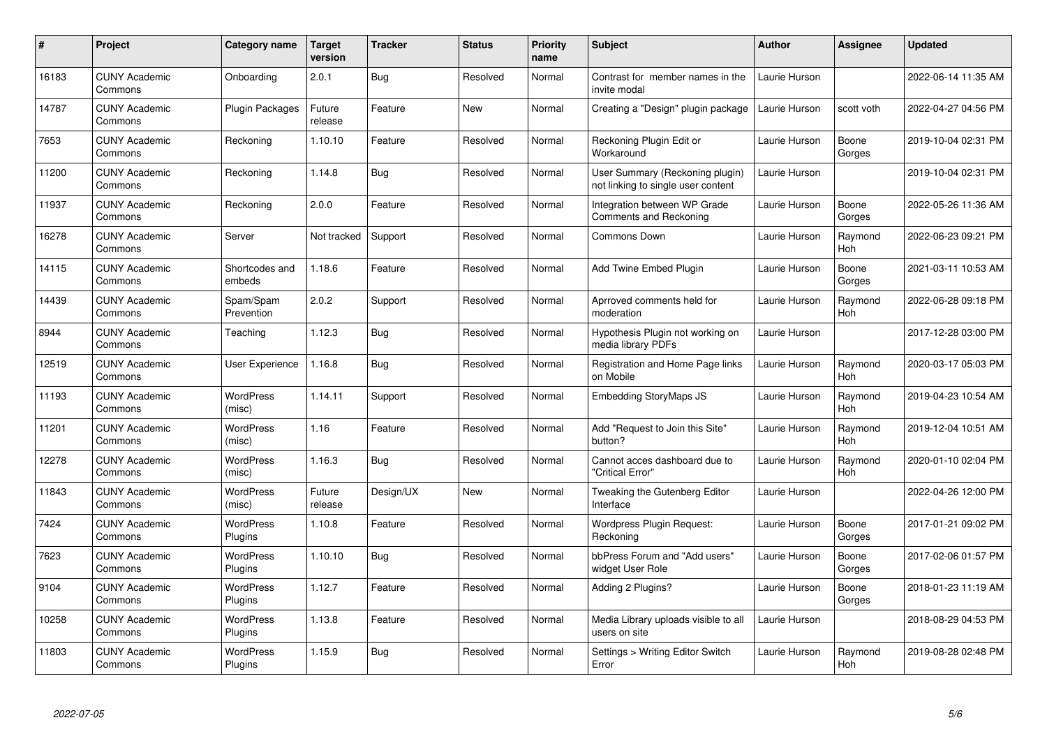| $\#$  | <b>Project</b>                  | Category name              | <b>Target</b><br>version | <b>Tracker</b> | <b>Status</b> | <b>Priority</b><br>name | <b>Subject</b>                                                        | <b>Author</b> | Assignee              | Updated             |
|-------|---------------------------------|----------------------------|--------------------------|----------------|---------------|-------------------------|-----------------------------------------------------------------------|---------------|-----------------------|---------------------|
| 16183 | <b>CUNY Academic</b><br>Commons | Onboarding                 | 2.0.1                    | <b>Bug</b>     | Resolved      | Normal                  | Contrast for member names in the<br>invite modal                      | Laurie Hurson |                       | 2022-06-14 11:35 AM |
| 14787 | <b>CUNY Academic</b><br>Commons | <b>Plugin Packages</b>     | Future<br>release        | Feature        | <b>New</b>    | Normal                  | Creating a "Design" plugin package                                    | Laurie Hurson | scott voth            | 2022-04-27 04:56 PM |
| 7653  | <b>CUNY Academic</b><br>Commons | Reckoning                  | 1.10.10                  | Feature        | Resolved      | Normal                  | Reckoning Plugin Edit or<br>Workaround                                | Laurie Hurson | Boone<br>Gorges       | 2019-10-04 02:31 PM |
| 11200 | <b>CUNY Academic</b><br>Commons | Reckoning                  | 1.14.8                   | Bug            | Resolved      | Normal                  | User Summary (Reckoning plugin)<br>not linking to single user content | Laurie Hurson |                       | 2019-10-04 02:31 PM |
| 11937 | <b>CUNY Academic</b><br>Commons | Reckoning                  | 2.0.0                    | Feature        | Resolved      | Normal                  | Integration between WP Grade<br>Comments and Reckoning                | Laurie Hurson | Boone<br>Gorges       | 2022-05-26 11:36 AM |
| 16278 | <b>CUNY Academic</b><br>Commons | Server                     | Not tracked              | Support        | Resolved      | Normal                  | Commons Down                                                          | Laurie Hurson | Raymond<br>Hoh        | 2022-06-23 09:21 PM |
| 14115 | <b>CUNY Academic</b><br>Commons | Shortcodes and<br>embeds   | 1.18.6                   | Feature        | Resolved      | Normal                  | <b>Add Twine Embed Plugin</b>                                         | Laurie Hurson | Boone<br>Gorges       | 2021-03-11 10:53 AM |
| 14439 | <b>CUNY Academic</b><br>Commons | Spam/Spam<br>Prevention    | 2.0.2                    | Support        | Resolved      | Normal                  | Aprroved comments held for<br>moderation                              | Laurie Hurson | Raymond<br>Hoh        | 2022-06-28 09:18 PM |
| 8944  | <b>CUNY Academic</b><br>Commons | Teaching                   | 1.12.3                   | Bug            | Resolved      | Normal                  | Hypothesis Plugin not working on<br>media library PDFs                | Laurie Hurson |                       | 2017-12-28 03:00 PM |
| 12519 | <b>CUNY Academic</b><br>Commons | User Experience            | 1.16.8                   | <b>Bug</b>     | Resolved      | Normal                  | Registration and Home Page links<br>on Mobile                         | Laurie Hurson | Raymond<br>Hoh        | 2020-03-17 05:03 PM |
| 11193 | <b>CUNY Academic</b><br>Commons | <b>WordPress</b><br>(misc) | 1.14.11                  | Support        | Resolved      | Normal                  | <b>Embedding StoryMaps JS</b>                                         | Laurie Hurson | Raymond<br><b>Hoh</b> | 2019-04-23 10:54 AM |
| 11201 | <b>CUNY Academic</b><br>Commons | <b>WordPress</b><br>(misc) | 1.16                     | Feature        | Resolved      | Normal                  | Add "Request to Join this Site"<br>button?                            | Laurie Hurson | Raymond<br><b>Hoh</b> | 2019-12-04 10:51 AM |
| 12278 | <b>CUNY Academic</b><br>Commons | <b>WordPress</b><br>(misc) | 1.16.3                   | Bug            | Resolved      | Normal                  | Cannot acces dashboard due to<br>'Critical Error"                     | Laurie Hurson | Raymond<br>Hoh        | 2020-01-10 02:04 PM |
| 11843 | <b>CUNY Academic</b><br>Commons | WordPress<br>(misc)        | Future<br>release        | Design/UX      | New           | Normal                  | Tweaking the Gutenberg Editor<br>Interface                            | Laurie Hurson |                       | 2022-04-26 12:00 PM |
| 7424  | <b>CUNY Academic</b><br>Commons | WordPress<br>Plugins       | 1.10.8                   | Feature        | Resolved      | Normal                  | Wordpress Plugin Request:<br>Reckoning                                | Laurie Hurson | Boone<br>Gorges       | 2017-01-21 09:02 PM |
| 7623  | <b>CUNY Academic</b><br>Commons | WordPress<br>Plugins       | 1.10.10                  | Bug            | Resolved      | Normal                  | bbPress Forum and "Add users"<br>widget User Role                     | Laurie Hurson | Boone<br>Gorges       | 2017-02-06 01:57 PM |
| 9104  | <b>CUNY Academic</b><br>Commons | WordPress<br>Plugins       | 1.12.7                   | Feature        | Resolved      | Normal                  | Adding 2 Plugins?                                                     | Laurie Hurson | Boone<br>Gorges       | 2018-01-23 11:19 AM |
| 10258 | <b>CUNY Academic</b><br>Commons | WordPress<br>Plugins       | 1.13.8                   | Feature        | Resolved      | Normal                  | Media Library uploads visible to all<br>users on site                 | Laurie Hurson |                       | 2018-08-29 04:53 PM |
| 11803 | <b>CUNY Academic</b><br>Commons | WordPress<br>Plugins       | 1.15.9                   | Bug            | Resolved      | Normal                  | Settings > Writing Editor Switch<br>Error                             | Laurie Hurson | Raymond<br>Hoh        | 2019-08-28 02:48 PM |